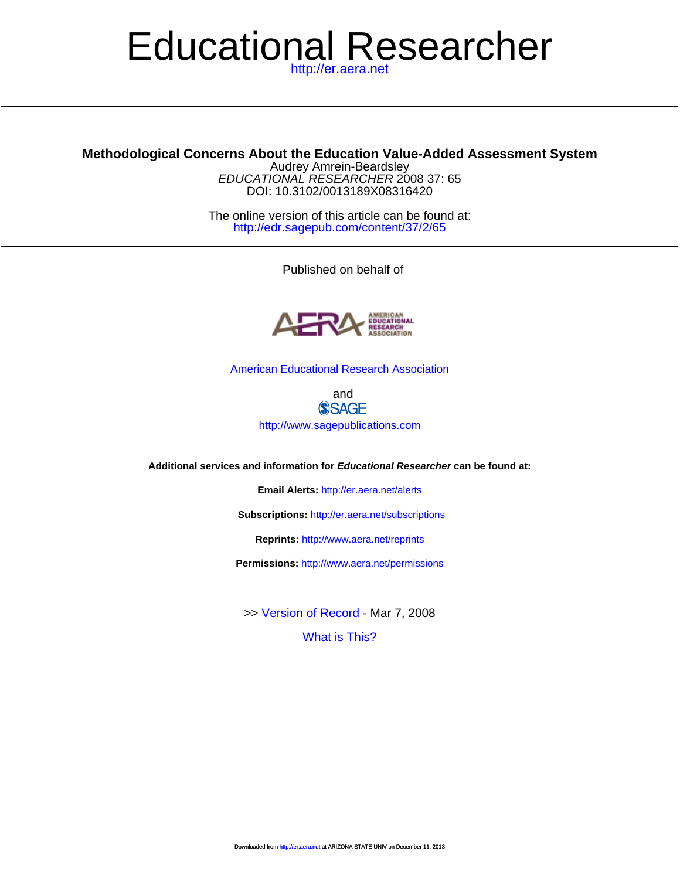## Educational [Resea](http://er.aera.net/alerts)rcher <http://er.aera.net>

### **Methodological Concerns About the Ed[ucation Value-Added](http://www.aera.net/reprints) Assessment System**

DOI: 10.3102/0[013189X08316420](http://www.aera.net/permissions) EDUCATIONAL RESEARCHER 2008 37: 65 Audrey Amrein-Beardsley

<http://edr.sagepub.com/content/37/2/65> The online version of this article can be found at:

Published on behalf of



[American Educational Research Association](http://www.aera.net)

and **SSAGE** <http://www.sagepublications.com>

**Additional services and information for Educational Researcher can be found at:**

**Email Alerts:** <http://er.aera.net/alerts>

**Subscriptions:** <http://er.aera.net/subscriptions>

**Reprints:** <http://www.aera.net/reprints>

**Permissions:** <http://www.aera.net/permissions>

>> [Version of Record -](http://edr.sagepub.com/content/37/2/65.full.pdf) Mar 7, 2008

[What is This?](http://online.sagepub.com/site/sphelp/vorhelp.xhtml)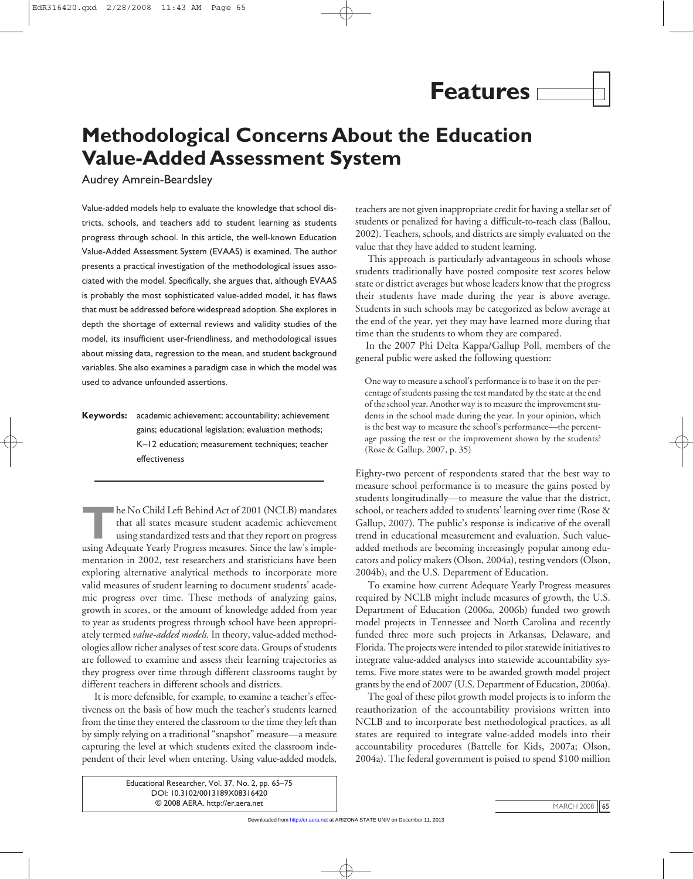# **Features**

## **Methodological Concerns About the Education Value-Added Assessment System**

Audrey Amrein-Beardsley

Value-added models help to evaluate the knowledge that school districts, schools, and teachers add to student learning as students progress through school. In this article, the well-known Education Value-Added Assessment System (EVAAS) is examined. The author presents a practical investigation of the methodological issues associated with the model. Specifically, she argues that, although EVAAS is probably the most sophisticated value-added model, it has flaws that must be addressed before widespread adoption. She explores in depth the shortage of external reviews and validity studies of the model, its insufficient user-friendliness, and methodological issues about missing data, regression to the mean, and student background variables. She also examines a paradigm case in which the model was used to advance unfounded assertions.

**Keywords:** academic achievement; accountability; achievement gains; educational legislation; evaluation methods; K–12 education; measurement techniques; teacher effectiveness

**The No Child Left Behind Act of 2001 (NCLB) mandates**<br>that all states measure student academic achievement<br>using standardized tests and that they report on progress<br>using Adequate Yearly Progress measures. Since the law's that all states measure student academic achievement using standardized tests and that they report on progress using Adequate Yearly Progress measures. Since the law's implementation in 2002, test researchers and statisticians have been exploring alternative analytical methods to incorporate more valid measures of student learning to document students' academic progress over time. These methods of analyzing gains, growth in scores, or the amount of knowledge added from year to year as students progress through school have been appropriately termed *value-added models.* In theory, value-added methodologies allow richer analyses of test score data. Groups of students are followed to examine and assess their learning trajectories as they progress over time through different classrooms taught by different teachers in different schools and districts.

It is more defensible, for example, to examine a teacher's effectiveness on the basis of how much the teacher's students learned from the time they entered the classroom to the time they left than by simply relying on a traditional "snapshot" measure—a measure capturing the level at which students exited the classroom independent of their level when entering. Using value-added models,

teachers are not given inappropriate credit for having a stellar set of students or penalized for having a difficult-to-teach class (Ballou, 2002). Teachers, schools, and districts are simply evaluated on the value that they have added to student learning.

This approach is particularly advantageous in schools whose students traditionally have posted composite test scores below state or district averages but whose leaders know that the progress their students have made during the year is above average. Students in such schools may be categorized as below average at the end of the year, yet they may have learned more during that time than the students to whom they are compared.

In the 2007 Phi Delta Kappa/Gallup Poll, members of the general public were asked the following question:

One way to measure a school's performance is to base it on the percentage of students passing the test mandated by the state at the end of the school year. Another way is to measure the improvement students in the school made during the year. In your opinion, which is the best way to measure the school's performance—the percentage passing the test or the improvement shown by the students? (Rose & Gallup, 2007, p. 35)

Eighty-two percent of respondents stated that the best way to measure school performance is to measure the gains posted by students longitudinally—to measure the value that the district, school, or teachers added to students' learning over time (Rose & Gallup, 2007). The public's response is indicative of the overall trend in educational measurement and evaluation. Such valueadded methods are becoming increasingly popular among educators and policy makers (Olson, 2004a), testing vendors (Olson, 2004b), and the U.S. Department of Education.

To examine how current Adequate Yearly Progress measures required by NCLB might include measures of growth, the U.S. Department of Education (2006a, 2006b) funded two growth model projects in Tennessee and North Carolina and recently funded three more such projects in Arkansas, Delaware, and Florida. The projects were intended to pilot statewide initiatives to integrate value-added analyses into statewide accountability systems. Five more states were to be awarded growth model project grants by the end of 2007 (U.S. Department of Education, 2006a).

The goal of these pilot growth model projects is to inform the reauthorization of the accountability provisions written into NCLB and to incorporate best methodological practices, as all states are required to integrate value-added models into their accountability procedures (Battelle for Kids, 2007a; Olson, 2004a). [The federal](http://er.aera.net) government is poised to spend \$100 million

Educational Researcher, Vol. 37, No. 2, pp. 65–75 DOI: 10.3102/0013189X08316420 © 2008 AERA. http://er.aera.net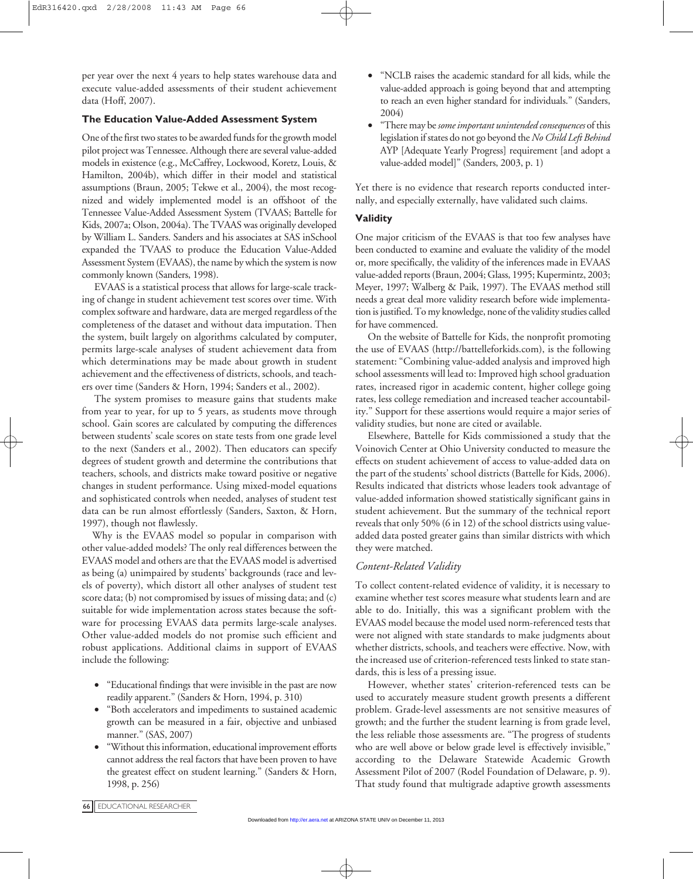per year over the next 4 years to help states warehouse data and execute value-added assessments of their student achievement data (Hoff, 2007).

#### **The Education Value-Added Assessment System**

One of the first two states to be awarded funds for the growth model pilot project was Tennessee. Although there are several value-added models in existence (e.g., McCaffrey, Lockwood, Koretz, Louis, & Hamilton, 2004b), which differ in their model and statistical assumptions (Braun, 2005; Tekwe et al., 2004), the most recognized and widely implemented model is an offshoot of the Tennessee Value-Added Assessment System (TVAAS; Battelle for Kids, 2007a; Olson, 2004a). The TVAAS was originally developed by William L. Sanders. Sanders and his associates at SAS inSchool expanded the TVAAS to produce the Education Value-Added Assessment System (EVAAS), the name by which the system is now commonly known (Sanders, 1998).

EVAAS is a statistical process that allows for large-scale tracking of change in student achievement test scores over time. With complex software and hardware, data are merged regardless of the completeness of the dataset and without data imputation. Then the system, built largely on algorithms calculated by computer, permits large-scale analyses of student achievement data from which determinations may be made about growth in student achievement and the effectiveness of districts, schools, and teachers over time (Sanders & Horn, 1994; Sanders et al., 2002).

The system promises to measure gains that students make from year to year, for up to 5 years, as students move through school. Gain scores are calculated by computing the differences between students' scale scores on state tests from one grade level to the next (Sanders et al., 2002). Then educators can specify degrees of student growth and determine the contributions that teachers, schools, and districts make toward positive or negative changes in student performance. Using mixed-model equations and sophisticated controls when needed, analyses of student test data can be run almost effortlessly (Sanders, Saxton, & Horn, 1997), though not flawlessly.

Why is the EVAAS model so popular in comparison with other value-added models? The only real differences between the EVAAS model and others are that the EVAAS model is advertised as being (a) unimpaired by students' backgrounds (race and levels of poverty), which distort all other analyses of student test score data; (b) not compromised by issues of missing data; and (c) suitable for wide implementation across states because the software for processing EVAAS data permits large-scale analyses. Other value-added models do not promise such efficient and robust applications. Additional claims in support of EVAAS include the following:

- "Educational findings that were invisible in the past are now readily apparent." (Sanders & Horn, 1994, p. 310)
- "Both accelerators and impediments to sustained academic growth can be measured in a fair, objective and unbiased manner." (SAS, 2007)
- "Without this information, educational improvement efforts cannot address the real factors that have been proven to have the greatest effect on student learning." (Sanders & Horn, 1998, p. 256)
- "NCLB raises the academic standard for all kids, while the value-added approach is going beyond that and attempting to reach an even higher standard for individuals." (Sanders, 2004)
- "There may be *some important unintended consequences* of this legislation if states do not go beyond the *No Child Left Behind* AYP [Adequate Yearly Progress] requirement [and adopt a value-added model]" (Sanders, 2003, p. 1)

Yet there is no evidence that research reports conducted internally, and especially externally, have validated such claims.

#### **Validity**

One major criticism of the EVAAS is that too few analyses have been conducted to examine and evaluate the validity of the model or, more specifically, the validity of the inferences made in EVAAS value-added reports (Braun, 2004; Glass, 1995; Kupermintz, 2003; Meyer, 1997; Walberg & Paik, 1997). The EVAAS method still needs a great deal more validity research before wide implementation is justified. To my knowledge, none of the validity studies called for have commenced.

On the website of Battelle for Kids, the nonprofit promoting the use of EVAAS (http://battelleforkids.com), is the following statement: "Combining value-added analysis and improved high school assessments will lead to: Improved high school graduation rates, increased rigor in academic content, higher college going rates, less college remediation and increased teacher accountability." Support for these assertions would require a major series of validity studies, but none are cited or available.

Elsewhere, Battelle for Kids commissioned a study that the Voinovich Center at Ohio University conducted to measure the effects on student achievement of access to value-added data on the part of the students' school districts (Battelle for Kids, 2006). Results indicated that districts whose leaders took advantage of value-added information showed statistically significant gains in student achievement. But the summary of the technical report reveals that only 50% (6 in 12) of the school districts using valueadded data posted greater gains than similar districts with which they were matched.

#### *Content-Related Validity*

To collect content-related evidence of validity, it is necessary to examine whether test scores measure what students learn and are able to do. Initially, this was a significant problem with the EVAAS model because the model used norm-referenced tests that were not aligned with state standards to make judgments about whether districts, schools, and teachers were effective. Now, with the increased use of criterion-referenced tests linked to state standards, this is less of a pressing issue.

However, whether states' criterion-referenced tests can be used to accurately measure student growth presents a different problem. Grade-level assessments are not sensitive measures of growth; and the further the student learning is from grade level, the less reliable those assessments are. "The progress of students who are well above or below grade level is effectively invisible," accordin[g to the](http://er.aera.net) Delaware Statewide Academic Growth Assessment Pilot of 2007 (Rodel Foundation of Delaware, p. 9). That study found that multigrade adaptive growth assessments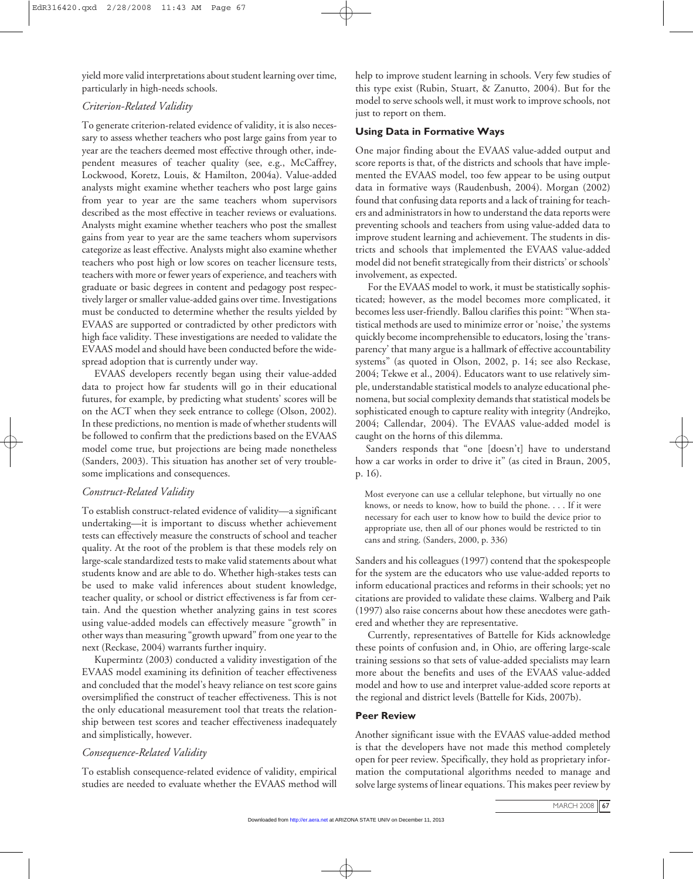yield more valid interpretations about student learning over time, particularly in high-needs schools.

#### *Criterion-Related Validity*

To generate criterion-related evidence of validity, it is also necessary to assess whether teachers who post large gains from year to year are the teachers deemed most effective through other, independent measures of teacher quality (see, e.g., McCaffrey, Lockwood, Koretz, Louis, & Hamilton, 2004a). Value-added analysts might examine whether teachers who post large gains from year to year are the same teachers whom supervisors described as the most effective in teacher reviews or evaluations. Analysts might examine whether teachers who post the smallest gains from year to year are the same teachers whom supervisors categorize as least effective. Analysts might also examine whether teachers who post high or low scores on teacher licensure tests, teachers with more or fewer years of experience, and teachers with graduate or basic degrees in content and pedagogy post respectively larger or smaller value-added gains over time. Investigations must be conducted to determine whether the results yielded by EVAAS are supported or contradicted by other predictors with high face validity. These investigations are needed to validate the EVAAS model and should have been conducted before the widespread adoption that is currently under way.

EVAAS developers recently began using their value-added data to project how far students will go in their educational futures, for example, by predicting what students' scores will be on the ACT when they seek entrance to college (Olson, 2002). In these predictions, no mention is made of whether students will be followed to confirm that the predictions based on the EVAAS model come true, but projections are being made nonetheless (Sanders, 2003). This situation has another set of very troublesome implications and consequences.

#### *Construct-Related Validity*

To establish construct-related evidence of validity—a significant undertaking—it is important to discuss whether achievement tests can effectively measure the constructs of school and teacher quality. At the root of the problem is that these models rely on large-scale standardized tests to make valid statements about what students know and are able to do. Whether high-stakes tests can be used to make valid inferences about student knowledge, teacher quality, or school or district effectiveness is far from certain. And the question whether analyzing gains in test scores using value-added models can effectively measure "growth" in other ways than measuring "growth upward" from one year to the next (Reckase, 2004) warrants further inquiry.

Kupermintz (2003) conducted a validity investigation of the EVAAS model examining its definition of teacher effectiveness and concluded that the model's heavy reliance on test score gains oversimplified the construct of teacher effectiveness. This is not the only educational measurement tool that treats the relationship between test scores and teacher effectiveness inadequately and simplistically, however.

#### *Consequence-Related Validity*

To establish consequence-related evidence of validity, empirical studies are needed to evaluate whether the EVAAS method will

help to improve student learning in schools. Very few studies of this type exist (Rubin, Stuart, & Zanutto, 2004). But for the model to serve schools well, it must work to improve schools, not just to report on them.

#### **Using Data in Formative Ways**

One major finding about the EVAAS value-added output and score reports is that, of the districts and schools that have implemented the EVAAS model, too few appear to be using output data in formative ways (Raudenbush, 2004). Morgan (2002) found that confusing data reports and a lack of training for teachers and administrators in how to understand the data reports were preventing schools and teachers from using value-added data to improve student learning and achievement. The students in districts and schools that implemented the EVAAS value-added model did not benefit strategically from their districts' or schools' involvement, as expected.

For the EVAAS model to work, it must be statistically sophisticated; however, as the model becomes more complicated, it becomes less user-friendly. Ballou clarifies this point: "When statistical methods are used to minimize error or 'noise,' the systems quickly become incomprehensible to educators, losing the 'transparency' that many argue is a hallmark of effective accountability systems" (as quoted in Olson, 2002, p. 14; see also Reckase, 2004; Tekwe et al., 2004). Educators want to use relatively simple, understandable statistical models to analyze educational phenomena, but social complexity demands that statistical models be sophisticated enough to capture reality with integrity (Andrejko, 2004; Callendar, 2004). The EVAAS value-added model is caught on the horns of this dilemma.

Sanders responds that "one [doesn't] have to understand how a car works in order to drive it" (as cited in Braun, 2005, p. 16).

Most everyone can use a cellular telephone, but virtually no one knows, or needs to know, how to build the phone. . . . If it were necessary for each user to know how to build the device prior to appropriate use, then all of our phones would be restricted to tin cans and string. (Sanders, 2000, p. 336)

Sanders and his colleagues (1997) contend that the spokespeople for the system are the educators who use value-added reports to inform educational practices and reforms in their schools; yet no citations are provided to validate these claims. Walberg and Paik (1997) also raise concerns about how these anecdotes were gathered and whether they are representative.

Currently, representatives of Battelle for Kids acknowledge these points of confusion and, in Ohio, are offering large-scale training sessions so that sets of value-added specialists may learn more about the benefits and uses of the EVAAS value-added model and how to use and interpret value-added score reports at the regional and district levels (Battelle for Kids, 2007b).

#### **Peer Review**

Another significant issue with the EVAAS value-added method is that the developers have not made this method completely open for [peer review](http://er.aera.net). Specifically, they hold as proprietary information the computational algorithms needed to manage and solve large systems of linear equations. This makes peer review by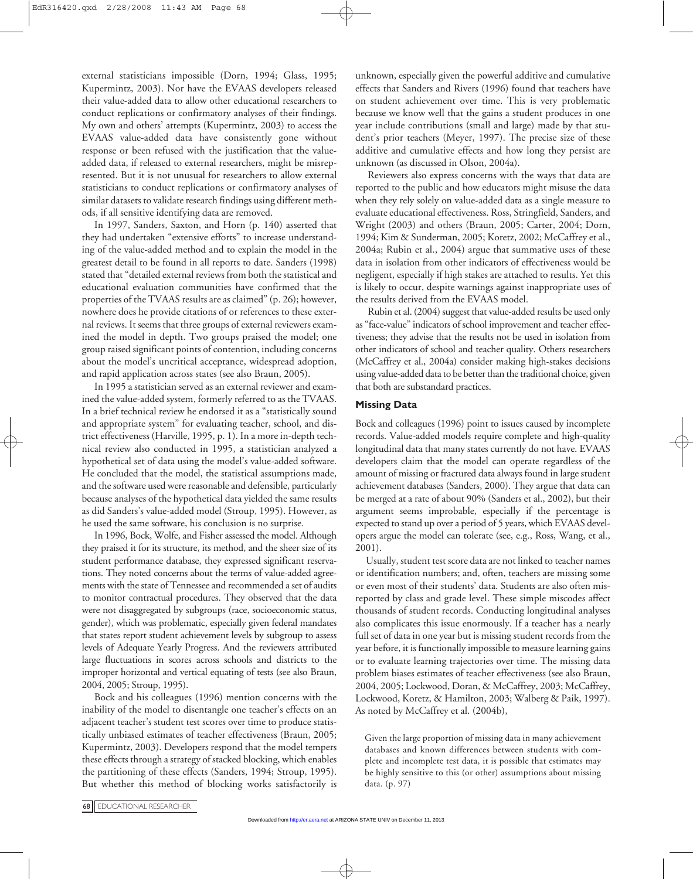external statisticians impossible (Dorn, 1994; Glass, 1995; Kupermintz, 2003). Nor have the EVAAS developers released their value-added data to allow other educational researchers to conduct replications or confirmatory analyses of their findings. My own and others' attempts (Kupermintz, 2003) to access the EVAAS value-added data have consistently gone without response or been refused with the justification that the valueadded data, if released to external researchers, might be misrepresented. But it is not unusual for researchers to allow external statisticians to conduct replications or confirmatory analyses of similar datasets to validate research findings using different methods, if all sensitive identifying data are removed.

In 1997, Sanders, Saxton, and Horn (p. 140) asserted that they had undertaken "extensive efforts" to increase understanding of the value-added method and to explain the model in the greatest detail to be found in all reports to date. Sanders (1998) stated that "detailed external reviews from both the statistical and educational evaluation communities have confirmed that the properties of the TVAAS results are as claimed" (p. 26); however, nowhere does he provide citations of or references to these external reviews. It seems that three groups of external reviewers examined the model in depth. Two groups praised the model; one group raised significant points of contention, including concerns about the model's uncritical acceptance, widespread adoption, and rapid application across states (see also Braun, 2005).

In 1995 a statistician served as an external reviewer and examined the value-added system, formerly referred to as the TVAAS. In a brief technical review he endorsed it as a "statistically sound and appropriate system" for evaluating teacher, school, and district effectiveness (Harville, 1995, p. 1). In a more in-depth technical review also conducted in 1995, a statistician analyzed a hypothetical set of data using the model's value-added software. He concluded that the model, the statistical assumptions made, and the software used were reasonable and defensible, particularly because analyses of the hypothetical data yielded the same results as did Sanders's value-added model (Stroup, 1995). However, as he used the same software, his conclusion is no surprise.

In 1996, Bock, Wolfe, and Fisher assessed the model. Although they praised it for its structure, its method, and the sheer size of its student performance database, they expressed significant reservations. They noted concerns about the terms of value-added agreements with the state of Tennessee and recommended a set of audits to monitor contractual procedures. They observed that the data were not disaggregated by subgroups (race, socioeconomic status, gender), which was problematic, especially given federal mandates that states report student achievement levels by subgroup to assess levels of Adequate Yearly Progress. And the reviewers attributed large fluctuations in scores across schools and districts to the improper horizontal and vertical equating of tests (see also Braun, 2004, 2005; Stroup, 1995).

Bock and his colleagues (1996) mention concerns with the inability of the model to disentangle one teacher's effects on an adjacent teacher's student test scores over time to produce statistically unbiased estimates of teacher effectiveness (Braun, 2005; Kupermintz, 2003). Developers respond that the model tempers these effects through a strategy of stacked blocking, which enables the partitioning of these effects (Sanders, 1994; Stroup, 1995). But whether this method of blocking works satisfactorily is unknown, especially given the powerful additive and cumulative effects that Sanders and Rivers (1996) found that teachers have on student achievement over time. This is very problematic because we know well that the gains a student produces in one year include contributions (small and large) made by that student's prior teachers (Meyer, 1997). The precise size of these additive and cumulative effects and how long they persist are unknown (as discussed in Olson, 2004a).

Reviewers also express concerns with the ways that data are reported to the public and how educators might misuse the data when they rely solely on value-added data as a single measure to evaluate educational effectiveness. Ross, Stringfield, Sanders, and Wright (2003) and others (Braun, 2005; Carter, 2004; Dorn, 1994; Kim & Sunderman, 2005; Koretz, 2002; McCaffrey et al., 2004a; Rubin et al., 2004) argue that summative uses of these data in isolation from other indicators of effectiveness would be negligent, especially if high stakes are attached to results. Yet this is likely to occur, despite warnings against inappropriate uses of the results derived from the EVAAS model.

Rubin et al. (2004) suggest that value-added results be used only as "face-value" indicators of school improvement and teacher effectiveness; they advise that the results not be used in isolation from other indicators of school and teacher quality. Others researchers (McCaffrey et al., 2004a) consider making high-stakes decisions using value-added data to be better than the traditional choice, given that both are substandard practices.

#### **Missing Data**

Bock and colleagues (1996) point to issues caused by incomplete records. Value-added models require complete and high-quality longitudinal data that many states currently do not have. EVAAS developers claim that the model can operate regardless of the amount of missing or fractured data always found in large student achievement databases (Sanders, 2000). They argue that data can be merged at a rate of about 90% (Sanders et al., 2002), but their argument seems improbable, especially if the percentage is expected to stand up over a period of 5 years, which EVAAS developers argue the model can tolerate (see, e.g., Ross, Wang, et al., 2001).

Usually, student test score data are not linked to teacher names or identification numbers; and, often, teachers are missing some or even most of their students' data. Students are also often misreported by class and grade level. These simple miscodes affect thousands of student records. Conducting longitudinal analyses also complicates this issue enormously. If a teacher has a nearly full set of data in one year but is missing student records from the year before, it is functionally impossible to measure learning gains or to evaluate learning trajectories over time. The missing data problem biases estimates of teacher effectiveness (see also Braun, 2004, 2005; Lockwood, Doran, & McCaffrey, 2003; McCaffrey, Lockwood, Koretz, & Hamilton, 2003; Walberg & Paik, 1997). As noted by McCaffrey et al. (2004b),

Given the large proportion of missing data in many achievement databases and known differences between students with complete a[nd incomple](http://er.aera.net)te test data, it is possible that estimates may be highly sensitive to this (or other) assumptions about missing data. (p. 97)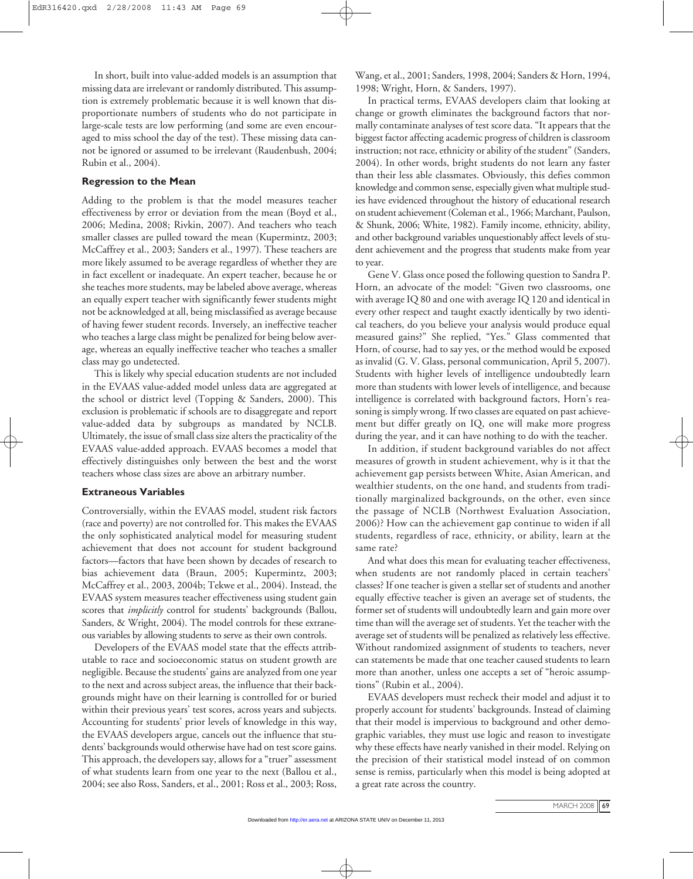In short, built into value-added models is an assumption that missing data are irrelevant or randomly distributed. This assumption is extremely problematic because it is well known that disproportionate numbers of students who do not participate in large-scale tests are low performing (and some are even encouraged to miss school the day of the test). These missing data cannot be ignored or assumed to be irrelevant (Raudenbush, 2004; Rubin et al., 2004).

#### **Regression to the Mean**

Adding to the problem is that the model measures teacher effectiveness by error or deviation from the mean (Boyd et al., 2006; Medina, 2008; Rivkin, 2007). And teachers who teach smaller classes are pulled toward the mean (Kupermintz, 2003; McCaffrey et al., 2003; Sanders et al., 1997). These teachers are more likely assumed to be average regardless of whether they are in fact excellent or inadequate. An expert teacher, because he or she teaches more students, may be labeled above average, whereas an equally expert teacher with significantly fewer students might not be acknowledged at all, being misclassified as average because of having fewer student records. Inversely, an ineffective teacher who teaches a large class might be penalized for being below average, whereas an equally ineffective teacher who teaches a smaller class may go undetected.

This is likely why special education students are not included in the EVAAS value-added model unless data are aggregated at the school or district level (Topping & Sanders, 2000). This exclusion is problematic if schools are to disaggregate and report value-added data by subgroups as mandated by NCLB. Ultimately, the issue of small class size alters the practicality of the EVAAS value-added approach. EVAAS becomes a model that effectively distinguishes only between the best and the worst teachers whose class sizes are above an arbitrary number.

#### **Extraneous Variables**

Controversially, within the EVAAS model, student risk factors (race and poverty) are not controlled for. This makes the EVAAS the only sophisticated analytical model for measuring student achievement that does not account for student background factors—factors that have been shown by decades of research to bias achievement data (Braun, 2005; Kupermintz, 2003; McCaffrey et al., 2003, 2004b; Tekwe et al., 2004). Instead, the EVAAS system measures teacher effectiveness using student gain scores that *implicitly* control for students' backgrounds (Ballou, Sanders, & Wright, 2004). The model controls for these extraneous variables by allowing students to serve as their own controls.

Developers of the EVAAS model state that the effects attributable to race and socioeconomic status on student growth are negligible. Because the students' gains are analyzed from one year to the next and across subject areas, the influence that their backgrounds might have on their learning is controlled for or buried within their previous years' test scores, across years and subjects. Accounting for students' prior levels of knowledge in this way, the EVAAS developers argue, cancels out the influence that students' backgrounds would otherwise have had on test score gains. This approach, the developers say, allows for a "truer" assessment of what students learn from one year to the next (Ballou et al., 2004; see also Ross, Sanders, et al., 2001; Ross et al., 2003; Ross,

Wang, et al., 2001; Sanders, 1998, 2004; Sanders & Horn, 1994, 1998; Wright, Horn, & Sanders, 1997).

In practical terms, EVAAS developers claim that looking at change or growth eliminates the background factors that normally contaminate analyses of test score data. "It appears that the biggest factor affecting academic progress of children is classroom instruction; not race, ethnicity or ability of the student" (Sanders, 2004). In other words, bright students do not learn any faster than their less able classmates. Obviously, this defies common knowledge and common sense, especially given what multiple studies have evidenced throughout the history of educational research on student achievement (Coleman et al., 1966; Marchant, Paulson, & Shunk, 2006; White, 1982). Family income, ethnicity, ability, and other background variables unquestionably affect levels of student achievement and the progress that students make from year to year.

Gene V. Glass once posed the following question to Sandra P. Horn, an advocate of the model: "Given two classrooms, one with average IQ 80 and one with average IQ 120 and identical in every other respect and taught exactly identically by two identical teachers, do you believe your analysis would produce equal measured gains?" She replied, "Yes." Glass commented that Horn, of course, had to say yes, or the method would be exposed as invalid (G. V. Glass, personal communication, April 5, 2007). Students with higher levels of intelligence undoubtedly learn more than students with lower levels of intelligence, and because intelligence is correlated with background factors, Horn's reasoning is simply wrong. If two classes are equated on past achievement but differ greatly on IQ, one will make more progress during the year, and it can have nothing to do with the teacher.

In addition, if student background variables do not affect measures of growth in student achievement, why is it that the achievement gap persists between White, Asian American, and wealthier students, on the one hand, and students from traditionally marginalized backgrounds, on the other, even since the passage of NCLB (Northwest Evaluation Association, 2006)? How can the achievement gap continue to widen if all students, regardless of race, ethnicity, or ability, learn at the same rate?

And what does this mean for evaluating teacher effectiveness, when students are not randomly placed in certain teachers' classes? If one teacher is given a stellar set of students and another equally effective teacher is given an average set of students, the former set of students will undoubtedly learn and gain more over time than will the average set of students. Yet the teacher with the average set of students will be penalized as relatively less effective. Without randomized assignment of students to teachers, never can statements be made that one teacher caused students to learn more than another, unless one accepts a set of "heroic assumptions" (Rubin et al., 2004).

EVAAS developers must recheck their model and adjust it to properly account for students' backgrounds. Instead of claiming that their model is impervious to background and other demographic variables, they must use logic and reason to investigate why these effects have nearly vanished in their model. Relying on the preci[sion of the](http://er.aera.net)ir statistical model instead of on common sense is remiss, particularly when this model is being adopted at a great rate across the country.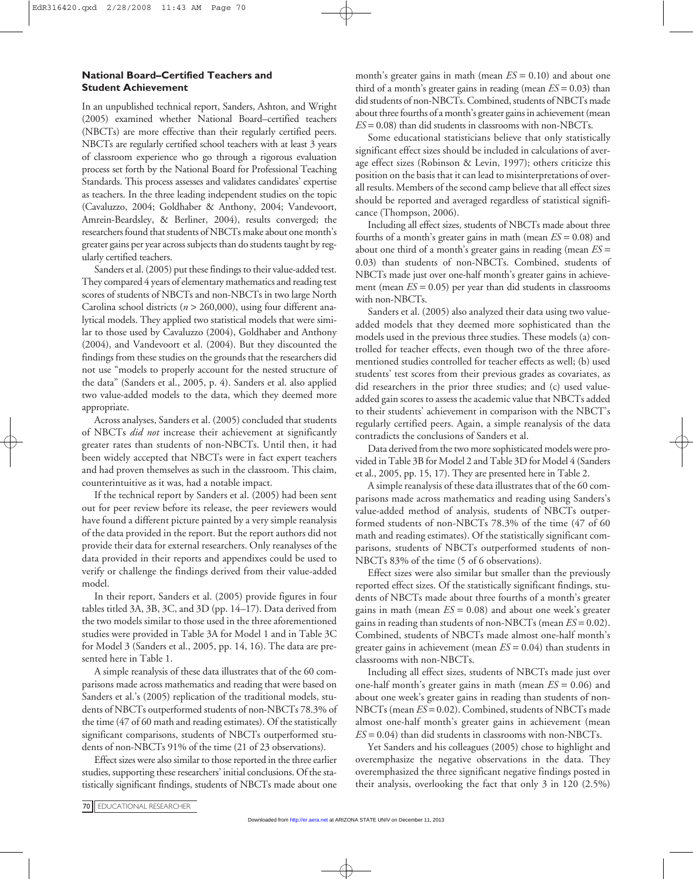#### **National Board–Certified Teachers and Student Achievement**

In an unpublished technical report, Sanders, Ashton, and Wright (2005) examined whether National Board–certified teachers (NBCTs) are more effective than their regularly certified peers. NBCTs are regularly certified school teachers with at least 3 years of classroom experience who go through a rigorous evaluation process set forth by the National Board for Professional Teaching Standards. This process assesses and validates candidates' expertise as teachers. In the three leading independent studies on the topic (Cavaluzzo, 2004; Goldhaber & Anthony, 2004; Vandevoort, Amrein-Beardsley, & Berliner, 2004), results converged; the researchers found that students of NBCTs make about one month's greater gains per year across subjects than do students taught by regularly certified teachers.

Sanders et al. (2005) put these findings to their value-added test. They compared 4 years of elementary mathematics and reading test scores of students of NBCTs and non-NBCTs in two large North Carolina school districts (*n* > 260,000), using four different analytical models. They applied two statistical models that were similar to those used by Cavaluzzo (2004), Goldhaber and Anthony (2004), and Vandevoort et al. (2004). But they discounted the findings from these studies on the grounds that the researchers did not use "models to properly account for the nested structure of the data" (Sanders et al., 2005, p. 4). Sanders et al. also applied two value-added models to the data, which they deemed more appropriate.

Across analyses, Sanders et al. (2005) concluded that students of NBCTs *did not* increase their achievement at significantly greater rates than students of non-NBCTs. Until then, it had been widely accepted that NBCTs were in fact expert teachers and had proven themselves as such in the classroom. This claim, counterintuitive as it was, had a notable impact.

If the technical report by Sanders et al. (2005) had been sent out for peer review before its release, the peer reviewers would have found a different picture painted by a very simple reanalysis of the data provided in the report. But the report authors did not provide their data for external researchers. Only reanalyses of the data provided in their reports and appendixes could be used to verify or challenge the findings derived from their value-added model.

In their report, Sanders et al. (2005) provide figures in four tables titled 3A, 3B, 3C, and 3D (pp. 14–17). Data derived from the two models similar to those used in the three aforementioned studies were provided in Table 3A for Model 1 and in Table 3C for Model 3 (Sanders et al., 2005, pp. 14, 16). The data are presented here in Table 1.

A simple reanalysis of these data illustrates that of the 60 comparisons made across mathematics and reading that were based on Sanders et al.'s (2005) replication of the traditional models, students of NBCTs outperformed students of non-NBCTs 78.3% of the time (47 of 60 math and reading estimates). Of the statistically significant comparisons, students of NBCTs outperformed students of non-NBCTs 91% of the time (21 of 23 observations).

Effect sizes were also similar to those reported in the three earlier studies, supporting these researchers' initial conclusions. Of the statistically significant findings, students of NBCTs made about one month's greater gains in math (mean  $ES = 0.10$ ) and about one third of a month's greater gains in reading (mean *ES* = 0.03) than did students of non-NBCTs. Combined, students of NBCTs made about three fourths of a month's greater gains in achievement (mean *ES* = 0.08) than did students in classrooms with non-NBCTs.

Some educational statisticians believe that only statistically significant effect sizes should be included in calculations of average effect sizes (Robinson & Levin, 1997); others criticize this position on the basis that it can lead to misinterpretations of overall results. Members of the second camp believe that all effect sizes should be reported and averaged regardless of statistical significance (Thompson, 2006).

Including all effect sizes, students of NBCTs made about three fourths of a month's greater gains in math (mean *ES* = 0.08) and about one third of a month's greater gains in reading (mean *ES* = 0.03) than students of non-NBCTs. Combined, students of NBCTs made just over one-half month's greater gains in achievement (mean *ES* = 0.05) per year than did students in classrooms with non-NBCTs.

Sanders et al. (2005) also analyzed their data using two valueadded models that they deemed more sophisticated than the models used in the previous three studies. These models (a) controlled for teacher effects, even though two of the three aforementioned studies controlled for teacher effects as well; (b) used students' test scores from their previous grades as covariates, as did researchers in the prior three studies; and (c) used valueadded gain scores to assess the academic value that NBCTs added to their students' achievement in comparison with the NBCT's regularly certified peers. Again, a simple reanalysis of the data contradicts the conclusions of Sanders et al.

Data derived from the two more sophisticated models were provided in Table 3B for Model 2 and Table 3D for Model 4 (Sanders et al., 2005, pp. 15, 17). They are presented here in Table 2.

A simple reanalysis of these data illustrates that of the 60 comparisons made across mathematics and reading using Sanders's value-added method of analysis, students of NBCTs outperformed students of non-NBCTs 78.3% of the time (47 of 60 math and reading estimates). Of the statistically significant comparisons, students of NBCTs outperformed students of non-NBCTs 83% of the time (5 of 6 observations).

Effect sizes were also similar but smaller than the previously reported effect sizes. Of the statistically significant findings, students of NBCTs made about three fourths of a month's greater gains in math (mean *ES* = 0.08) and about one week's greater gains in reading than students of non-NBCTs (mean *ES* = 0.02). Combined, students of NBCTs made almost one-half month's greater gains in achievement (mean *ES* = 0.04) than students in classrooms with non-NBCTs.

Including all effect sizes, students of NBCTs made just over one-half month's greater gains in math (mean *ES* = 0.06) and about one week's greater gains in reading than students of non-NBCTs (mean *ES* = 0.02). Combined, students of NBCTs made almost one-half month's greater gains in achievement (mean *ES* = 0.04) than did students in classrooms with non-NBCTs.

Yet Sanders and his colleagues (2005) chose to highlight and overemp[hasize the](http://er.aera.net) negative observations in the data. They overemphasized the three significant negative findings posted in their analysis, overlooking the fact that only 3 in 120 (2.5%)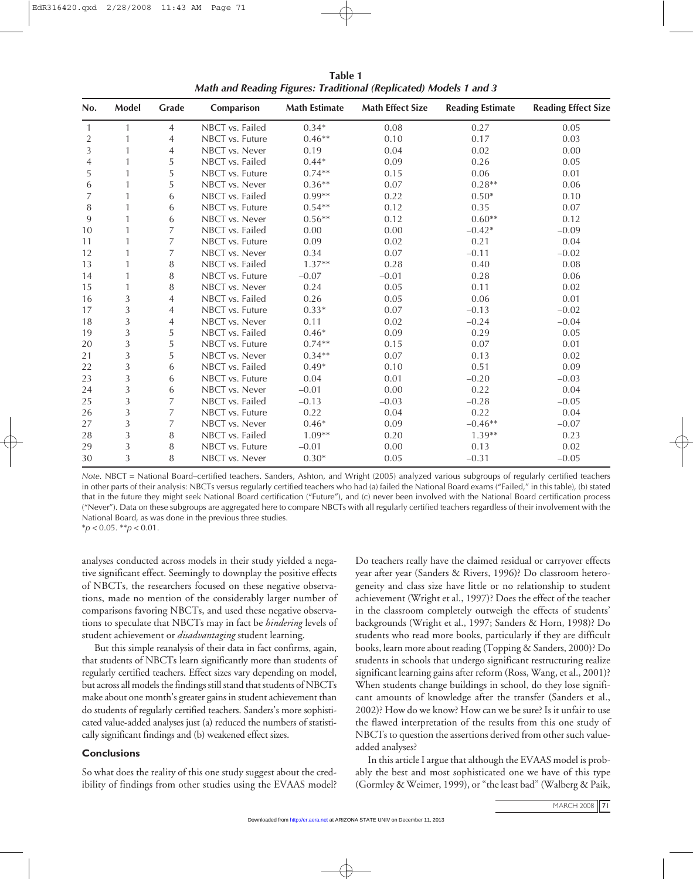**Table 1** *Math and Reading Figures: Traditional (Replicated) Models 1 and 3*

| No.            | Model        | Grade          | Comparison      | <b>Math Estimate</b> | <b>Math Effect Size</b> | <b>Reading Estimate</b> | <b>Reading Effect Size</b> |
|----------------|--------------|----------------|-----------------|----------------------|-------------------------|-------------------------|----------------------------|
| $\mathbf{1}$   | $\mathbf{1}$ | $\overline{4}$ | NBCT vs. Failed | $0.34*$              | 0.08                    | 0.27                    | 0.05                       |
| $\overline{2}$ | 1            | $\overline{4}$ | NBCT vs. Future | $0.46**$             | 0.10                    | 0.17                    | 0.03                       |
| 3              | 1            | 4              | NBCT vs. Never  | 0.19                 | 0.04                    | 0.02                    | 0.00                       |
| 4              | 1            | 5              | NBCT vs. Failed | $0.44*$              | 0.09                    | 0.26                    | 0.05                       |
| 5              | 1            | 5              | NBCT vs. Future | $0.74**$             | 0.15                    | 0.06                    | 0.01                       |
| 6              | 1            | 5              | NBCT vs. Never  | $0.36**$             | 0.07                    | $0.28**$                | 0.06                       |
| 7              | 1            | 6              | NBCT vs. Failed | $0.99**$             | 0.22                    | $0.50*$                 | 0.10                       |
| 8              | 1            | 6              | NBCT vs. Future | $0.54**$             | 0.12                    | 0.35                    | 0.07                       |
| 9              | 1            | 6              | NBCT vs. Never  | $0.56**$             | 0.12                    | $0.60**$                | 0.12                       |
| 10             |              | 7              | NBCT vs. Failed | 0.00                 | 0.00                    | $-0.42*$                | $-0.09$                    |
| 11             | 1            | 7              | NBCT vs. Future | 0.09                 | 0.02                    | 0.21                    | 0.04                       |
| 12             | 1            | 7              | NBCT vs. Never  | 0.34                 | 0.07                    | $-0.11$                 | $-0.02$                    |
| 13             | $\mathbf{1}$ | 8              | NBCT vs. Failed | $1.37**$             | 0.28                    | 0.40                    | 0.08                       |
| 14             | 1            | 8              | NBCT vs. Future | $-0.07$              | $-0.01$                 | 0.28                    | 0.06                       |
| 15             | 1            | 8              | NBCT vs. Never  | 0.24                 | 0.05                    | 0.11                    | 0.02                       |
| 16             | 3            | 4              | NBCT vs. Failed | 0.26                 | 0.05                    | 0.06                    | 0.01                       |
| 17             | 3            | 4              | NBCT vs. Future | $0.33*$              | 0.07                    | $-0.13$                 | $-0.02$                    |
| 18             | 3            | $\overline{4}$ | NBCT vs. Never  | 0.11                 | 0.02                    | $-0.24$                 | $-0.04$                    |
| 19             | 3            | 5              | NBCT vs. Failed | $0.46*$              | 0.09                    | 0.29                    | 0.05                       |
| 20             | 3            | 5              | NBCT vs. Future | $0.74**$             | 0.15                    | 0.07                    | 0.01                       |
| 21             | 3            | 5              | NBCT vs. Never  | $0.34**$             | 0.07                    | 0.13                    | 0.02                       |
| 22             | 3            | 6              | NBCT vs. Failed | $0.49*$              | 0.10                    | 0.51                    | 0.09                       |
| 23             | 3            | 6              | NBCT vs. Future | 0.04                 | 0.01                    | $-0.20$                 | $-0.03$                    |
| 24             | 3            | 6              | NBCT vs. Never  | $-0.01$              | 0.00                    | 0.22                    | 0.04                       |
| 25             | 3            | 7              | NBCT vs. Failed | $-0.13$              | $-0.03$                 | $-0.28$                 | $-0.05$                    |
| 26             | 3            | 7              | NBCT vs. Future | 0.22                 | 0.04                    | 0.22                    | 0.04                       |
| 27             | 3            | 7              | NBCT vs. Never  | $0.46*$              | 0.09                    | $-0.46**$               | $-0.07$                    |
| 28             | 3            | 8              | NBCT vs. Failed | $1.09**$             | 0.20                    | $1.39**$                | 0.23                       |
| 29             | 3            | 8              | NBCT vs. Future | $-0.01$              | 0.00                    | 0.13                    | 0.02                       |
| 30             | 3            | 8              | NBCT vs. Never  | $0.30*$              | 0.05                    | $-0.31$                 | $-0.05$                    |

*Note.* NBCT = National Board–certified teachers. Sanders, Ashton, and Wright (2005) analyzed various subgroups of regularly certified teachers in other parts of their analysis: NBCTs versus regularly certified teachers who had (a) failed the National Board exams ("Failed," in this table), (b) stated that in the future they might seek National Board certification ("Future"), and (c) never been involved with the National Board certification process ("Never"). Data on these subgroups are aggregated here to compare NBCTs with all regularly certified teachers regardless of their involvement with the National Board, as was done in the previous three studies.

\**p* < 0.05. \*\**p* < 0.01.

analyses conducted across models in their study yielded a negative significant effect. Seemingly to downplay the positive effects of NBCTs, the researchers focused on these negative observations, made no mention of the considerably larger number of comparisons favoring NBCTs, and used these negative observations to speculate that NBCTs may in fact be *hindering* levels of student achievement or *disadvantaging* student learning.

But this simple reanalysis of their data in fact confirms, again, that students of NBCTs learn significantly more than students of regularly certified teachers. Effect sizes vary depending on model, but across all models the findings still stand that students of NBCTs make about one month's greater gains in student achievement than do students of regularly certified teachers. Sanders's more sophisticated value-added analyses just (a) reduced the numbers of statistically significant findings and (b) weakened effect sizes.

#### **Conclusions**

So what does the reality of this one study suggest about the credibility of findings from other studies using the EVAAS model? Do teachers really have the claimed residual or carryover effects year after year (Sanders & Rivers, 1996)? Do classroom heterogeneity and class size have little or no relationship to student achievement (Wright et al., 1997)? Does the effect of the teacher in the classroom completely outweigh the effects of students' backgrounds (Wright et al., 1997; Sanders & Horn, 1998)? Do students who read more books, particularly if they are difficult books, learn more about reading (Topping & Sanders, 2000)? Do students in schools that undergo significant restructuring realize significant learning gains after reform (Ross, Wang, et al., 2001)? When students change buildings in school, do they lose significant amounts of knowledge after the transfer (Sanders et al., 2002)? How do we know? How can we be sure? Is it unfair to use the flawed interpretation of the results from this one study of NBCTs to question the assertions derived from other such valueadded analyses?

In thi[s article I ar](http://er.aera.net)gue that although the EVAAS model is probably the best and most sophisticated one we have of this type (Gormley & Weimer, 1999), or "the least bad" (Walberg & Paik,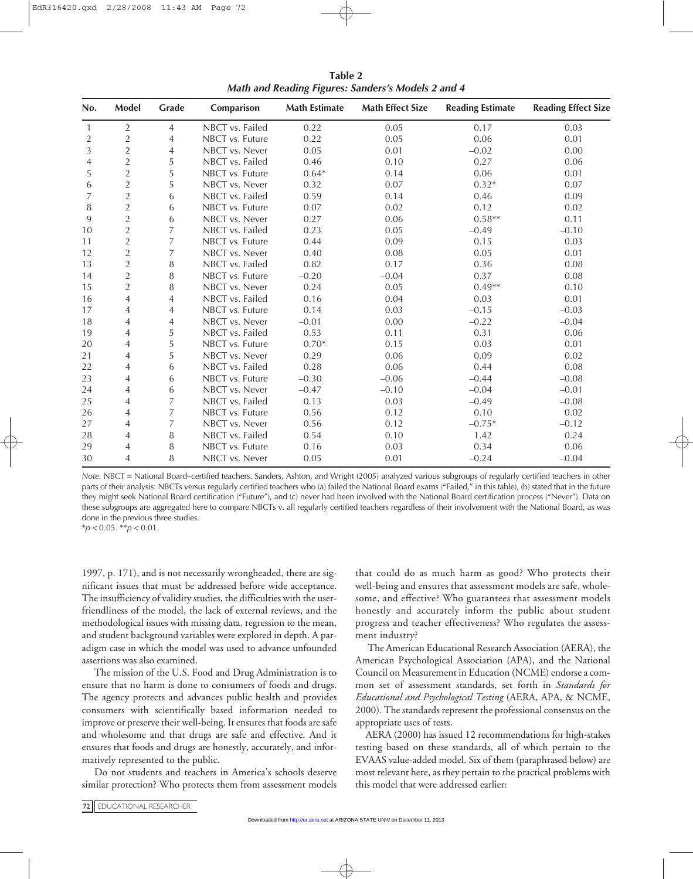**Table 2** *Math and Reading Figures: Sanders's Models 2 and 4*

| No.            | Model          | Grade          | Comparison      | <b>Math Estimate</b> | <b>Math Effect Size</b> | <b>Reading Estimate</b> | <b>Reading Effect Size</b> |
|----------------|----------------|----------------|-----------------|----------------------|-------------------------|-------------------------|----------------------------|
| 1              | $\sqrt{2}$     | $\overline{4}$ | NBCT vs. Failed | 0.22                 | 0.05                    | 0.17                    | 0.03                       |
| $\overline{2}$ | $\overline{2}$ | $\overline{4}$ | NBCT vs. Future | 0.22                 | 0.05                    | 0.06                    | 0.01                       |
| 3              | $\overline{2}$ | 4              | NBCT vs. Never  | 0.05                 | 0.01                    | $-0.02$                 | 0.00                       |
| 4              | $\overline{2}$ | 5              | NBCT vs. Failed | 0.46                 | 0.10                    | 0.27                    | 0.06                       |
| 5              | $\overline{2}$ | 5              | NBCT vs. Future | $0.64*$              | 0.14                    | 0.06                    | 0.01                       |
| 6              | $\overline{2}$ | 5              | NBCT vs. Never  | 0.32                 | 0.07                    | $0.32*$                 | 0.07                       |
| 7              | $\overline{2}$ | 6              | NBCT vs. Failed | 0.59                 | 0.14                    | 0.46                    | 0.09                       |
| 8              | $\overline{2}$ | 6              | NBCT vs. Future | 0.07                 | 0.02                    | 0.12                    | 0.02                       |
| 9              | $\overline{2}$ | 6              | NBCT vs. Never  | 0.27                 | 0.06                    | $0.58**$                | 0.11                       |
| 10             | $\overline{2}$ | 7              | NBCT vs. Failed | 0.23                 | 0.05                    | $-0.49$                 | $-0.10$                    |
| 11             | $\overline{2}$ | 7              | NBCT vs. Future | 0.44                 | 0.09                    | 0.15                    | 0.03                       |
| 12             | $\overline{2}$ | 7              | NBCT vs. Never  | 0.40                 | 0.08                    | 0.05                    | 0.01                       |
| 13             | $\overline{2}$ | 8              | NBCT vs. Failed | 0.82                 | 0.17                    | 0.36                    | 0.08                       |
| 14             | $\overline{2}$ | 8              | NBCT vs. Future | $-0.20$              | $-0.04$                 | 0.37                    | 0.08                       |
| 15             | $\overline{2}$ | 8              | NBCT vs. Never  | 0.24                 | 0.05                    | $0.49**$                | 0.10                       |
| 16             | $\overline{4}$ | $\overline{4}$ | NBCT vs. Failed | 0.16                 | 0.04                    | 0.03                    | 0.01                       |
| 17             | 4              | 4              | NBCT vs. Future | 0.14                 | 0.03                    | $-0.15$                 | $-0.03$                    |
| 18             | 4              | 4              | NBCT vs. Never  | $-0.01$              | 0.00                    | $-0.22$                 | $-0.04$                    |
| 19             | 4              | 5              | NBCT vs. Failed | 0.53                 | 0.11                    | 0.31                    | 0.06                       |
| 20             | 4              | 5              | NBCT vs. Future | $0.70*$              | 0.15                    | 0.03                    | 0.01                       |
| 21             | 4              | 5              | NBCT vs. Never  | 0.29                 | 0.06                    | 0.09                    | 0.02                       |
| 22             | 4              | 6              | NBCT vs. Failed | 0.28                 | 0.06                    | 0.44                    | 0.08                       |
| 23             | 4              | 6              | NBCT vs. Future | $-0.30$              | $-0.06$                 | $-0.44$                 | $-0.08$                    |
| 24             | 4              | 6              | NBCT vs. Never  | $-0.47$              | $-0.10$                 | $-0.04$                 | $-0.01$                    |
| 25             | 4              | 7              | NBCT vs. Failed | 0.13                 | 0.03                    | $-0.49$                 | $-0.08$                    |
| 26             | 4              | $\overline{7}$ | NBCT vs. Future | 0.56                 | 0.12                    | 0.10                    | 0.02                       |
| 27             | 4              | 7              | NBCT vs. Never  | 0.56                 | 0.12                    | $-0.75*$                | $-0.12$                    |
| 28             | 4              | 8              | NBCT vs. Failed | 0.54                 | 0.10                    | 1.42                    | 0.24                       |
| 29             | 4              | 8              | NBCT vs. Future | 0.16                 | 0.03                    | 0.34                    | 0.06                       |
| 30             | 4              | 8              | NBCT vs. Never  | 0.05                 | 0.01                    | $-0.24$                 | $-0.04$                    |

*Note.* NBCT = National Board–certified teachers. Sanders, Ashton, and Wright (2005) analyzed various subgroups of regularly certified teachers in other parts of their analysis: NBCTs versus regularly certified teachers who (a) failed the National Board exams ("Failed," in this table), (b) stated that in the future they might seek National Board certification ("Future"), and (c) never had been involved with the National Board certification process ("Never"). Data on these subgroups are aggregated here to compare NBCTs v. all regularly certified teachers regardless of their involvement with the National Board, as was done in the previous three studies.

\**p* < 0.05. \*\**p* < 0.01.

1997, p. 171), and is not necessarily wrongheaded, there are significant issues that must be addressed before wide acceptance. The insufficiency of validity studies, the difficulties with the userfriendliness of the model, the lack of external reviews, and the methodological issues with missing data, regression to the mean, and student background variables were explored in depth. A paradigm case in which the model was used to advance unfounded assertions was also examined.

The mission of the U.S. Food and Drug Administration is to ensure that no harm is done to consumers of foods and drugs. The agency protects and advances public health and provides consumers with scientifically based information needed to improve or preserve their well-being. It ensures that foods are safe and wholesome and that drugs are safe and effective. And it ensures that foods and drugs are honestly, accurately, and informatively represented to the public.

Do not students and teachers in America's schools deserve similar protection? Who protects them from assessment models that could do as much harm as good? Who protects their well-being and ensures that assessment models are safe, wholesome, and effective? Who guarantees that assessment models honestly and accurately inform the public about student progress and teacher effectiveness? Who regulates the assessment industry?

The American Educational Research Association (AERA), the American Psychological Association (APA), and the National Council on Measurement in Education (NCME) endorse a common set of assessment standards, set forth in *Standards for Educational and Psychological Testing* (AERA, APA, & NCME, 2000). The standards represent the professional consensus on the appropriate uses of tests.

AERA (2000) has issued 12 recommendations for high-stakes testing based on these standards, all of which pertain to the EVAAS [value-added](http://er.aera.net) model. Six of them (paraphrased below) are most relevant here, as they pertain to the practical problems with this model that were addressed earlier: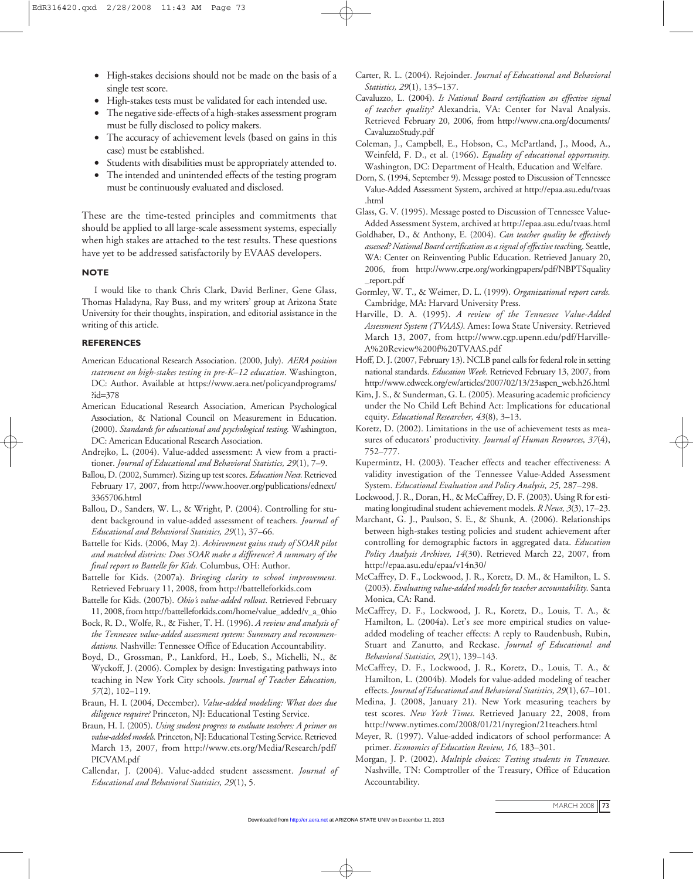- High-stakes decisions should not be made on the basis of a single test score.
- High-stakes tests must be validated for each intended use.
- The negative side-effects of a high-stakes assessment program must be fully disclosed to policy makers.
- The accuracy of achievement levels (based on gains in this case) must be established.
- Students with disabilities must be appropriately attended to.
- The intended and unintended effects of the testing program must be continuously evaluated and disclosed.

These are the time-tested principles and commitments that should be applied to all large-scale assessment systems, especially when high stakes are attached to the test results. These questions have yet to be addressed satisfactorily by EVAAS developers.

#### **NOTE**

I would like to thank Chris Clark, David Berliner, Gene Glass, Thomas Haladyna, Ray Buss, and my writers' group at Arizona State University for their thoughts, inspiration, and editorial assistance in the writing of this article.

#### **REFERENCES**

- American Educational Research Association. (2000, July). *AERA position statement on high-stakes testing in pre-K–12 education*. Washington, DC: Author. Available at https://www.aera.net/policyandprograms/ ?id=378
- American Educational Research Association, American Psychological Association, & National Council on Measurement in Education. (2000). *Standards for educational and psychological testing.* Washington, DC: American Educational Research Association.
- Andrejko, L. (2004). Value-added assessment: A view from a practitioner. *Journal of Educational and Behavioral Statistics, 29*(1), 7–9.
- Ballou, D. (2002, Summer). Sizing up test scores. *Education Next*. Retrieved February 17, 2007, from http://www.hoover.org/publications/ednext/ 3365706.html
- Ballou, D., Sanders, W. L., & Wright, P. (2004). Controlling for student background in value-added assessment of teachers. *Journal of Educational and Behavioral Statistics, 29*(1), 37–66.
- Battelle for Kids. (2006, May 2). *Achievement gains study of SOAR pilot and matched districts: Does SOAR make a difference? A summary of the final report to Battelle for Kids.* Columbus, OH: Author.
- Battelle for Kids. (2007a). *Bringing clarity to school improvement.* Retrieved February 11, 2008, from http://battelleforkids.com
- Battelle for Kids. (2007b). *Ohio's value-added rollout*. Retrieved February 11, 2008, from http://battelleforkids.com/home/value\_added/v\_a\_0hio
- Bock, R. D., Wolfe, R., & Fisher, T. H. (1996). *A review and analysis of the Tennessee value-added assessment system: Summary and recommendations.* Nashville: Tennessee Office of Education Accountability.
- Boyd, D., Grossman, P., Lankford, H., Loeb, S., Michelli, N., & Wyckoff, J. (2006). Complex by design: Investigating pathways into teaching in New York City schools. *Journal of Teacher Education, 57*(2), 102–119.
- Braun, H. I. (2004, December). *Value-added modeling: What does due diligence require?* Princeton, NJ: Educational Testing Service.
- Braun, H. I. (2005). *Using student progress to evaluate teachers: A primer on value-added models.* Princeton, NJ: Educational Testing Service. Retrieved March 13, 2007, from http://www.ets.org/Media/Research/pdf/ PICVAM.pdf
- Callendar, J. (2004). Value-added student assessment. *Journal of Educational and Behavioral Statistics, 29*(1), 5.
- Carter, R. L. (2004). Rejoinder. *Journal of Educational and Behavioral Statistics, 29*(1), 135–137.
- Cavaluzzo, L. (2004). *Is National Board certification an effective signal of teacher quality?* Alexandria, VA: Center for Naval Analysis. Retrieved February 20, 2006, from http://www.cna.org/documents/ CavaluzzoStudy.pdf
- Coleman, J., Campbell, E., Hobson, C., McPartland, J., Mood, A., Weinfeld, F. D., et al. (1966). *Equality of educational opportunity.* Washington, DC: Department of Health, Education and Welfare.
- Dorn, S. (1994, September 9). Message posted to Discussion of Tennessee Value-Added Assessment System, archived at http://epaa.asu.edu/tvaas .html
- Glass, G. V. (1995). Message posted to Discussion of Tennessee Value-Added Assessment System, archived at http://epaa.asu.edu/tvaas.html
- Goldhaber, D., & Anthony, E. (2004). *Can teacher quality be effectively assessed? National Board certification as a signal of effective teach*ing. Seattle, WA: Center on Reinventing Public Education. Retrieved January 20, 2006, from http://www.crpe.org/workingpapers/pdf/NBPTSquality \_report.pdf
- Gormley, W. T., & Weimer, D. L. (1999). *Organizational report cards.* Cambridge, MA: Harvard University Press.
- Harville, D. A. (1995). *A review of the Tennessee Value-Added Assessment System (TVAAS).* Ames: Iowa State University. Retrieved March 13, 2007, from http://www.cgp.upenn.edu/pdf/Harville-A%20Review%200f%20TVAAS.pdf
- Hoff, D. J. (2007, February 13). NCLB panel calls for federal role in setting national standards. *Education Week.* Retrieved February 13, 2007, from http://www.edweek.org/ew/articles/2007/02/13/23aspen\_web.h26.html
- Kim, J. S., & Sunderman, G. L. (2005). Measuring academic proficiency under the No Child Left Behind Act: Implications for educational equity. *Educational Researcher, 43*(8), 3–13.
- Koretz, D. (2002). Limitations in the use of achievement tests as measures of educators' productivity. *Journal of Human Resources, 37*(4), 752–777.
- Kupermintz, H. (2003). Teacher effects and teacher effectiveness: A validity investigation of the Tennessee Value-Added Assessment System. *Educational Evaluation and Policy Analysis, 25,* 287–298.
- Lockwood, J. R., Doran, H., & McCaffrey, D. F. (2003). Using R for estimating longitudinal student achievement models. *R News, 3*(3), 17–23.
- Marchant, G. J., Paulson, S. E., & Shunk, A. (2006). Relationships between high-stakes testing policies and student achievement after controlling for demographic factors in aggregated data. *Education Policy Analysis Archives, 14*(30). Retrieved March 22, 2007, from http://epaa.asu.edu/epaa/v14n30/
- McCaffrey, D. F., Lockwood, J. R., Koretz, D. M., & Hamilton, L. S. (2003). *Evaluating value-added models for teacher accountability.* Santa Monica, CA: Rand.
- McCaffrey, D. F., Lockwood, J. R., Koretz, D., Louis, T. A., & Hamilton, L. (2004a). Let's see more empirical studies on valueadded modeling of teacher effects: A reply to Raudenbush, Rubin, Stuart and Zanutto, and Reckase. *Journal of Educational and Behavioral Statistics, 29*(1), 139–143.
- McCaffrey, D. F., Lockwood, J. R., Koretz, D., Louis, T. A., & Hamilton, L. (2004b). Models for value-added modeling of teacher effects. *Journal of Educational and Behavioral Statistics, 29*(1), 67–101.
- Medina, J. (2008, January 21). New York measuring teachers by test scores. *New York Times.* Retrieved January 22, 2008, from http://www.nytimes.com/2008/01/21/nyregion/21teachers.html
- Meyer, R. (1997). Value-added indicators of school performance: A primer. *Economics of Education Review, 16,* 183–301.
- Morgan, [J. P. \(2002\)](http://er.aera.net). *Multiple choices: Testing students in Tennessee.* Nashville, TN: Comptroller of the Treasury, Office of Education Accountability.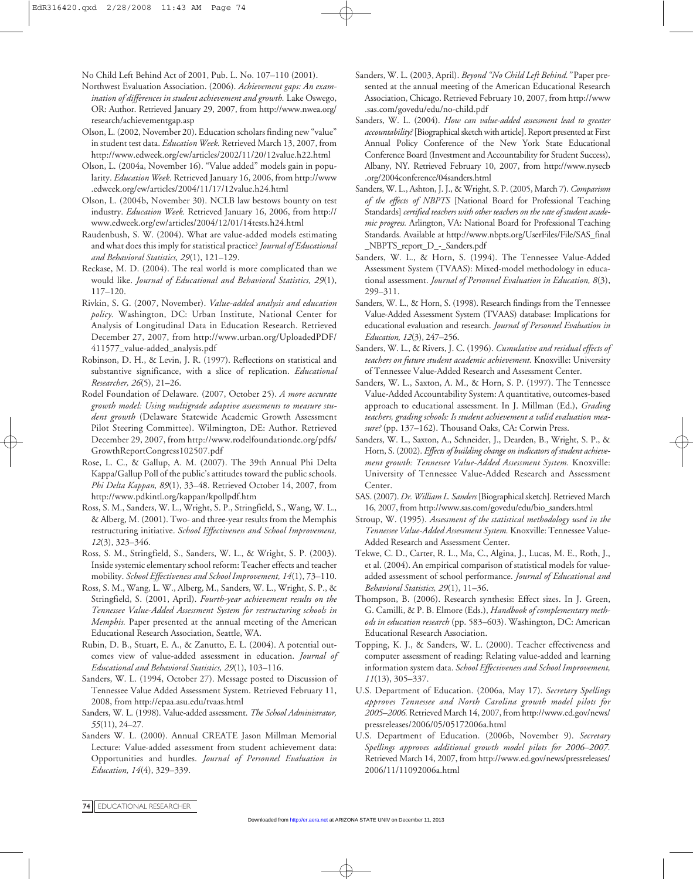No Child Left Behind Act of 2001, Pub. L. No. 107–110 (2001).

- Northwest Evaluation Association. (2006). *Achievement gaps: An examination of differences in student achievement and growth.* Lake Oswego, OR: Author. Retrieved January 29, 2007, from http://www.nwea.org/ research/achievementgap.asp
- Olson, L. (2002, November 20). Education scholars finding new "value" in student test data. *Education Week.* Retrieved March 13, 2007, from http://www.edweek.org/ew/articles/2002/11/20/12value.h22.html
- Olson, L. (2004a, November 16). "Value added" models gain in popularity. *Education Week.* Retrieved January 16, 2006, from http://www .edweek.org/ew/articles/2004/11/17/12value.h24.html
- Olson, L. (2004b, November 30). NCLB law bestows bounty on test industry. *Education Week.* Retrieved January 16, 2006, from http:// www.edweek.org/ew/articles/2004/12/01/14tests.h24.html
- Raudenbush, S. W. (2004). What are value-added models estimating and what does this imply for statistical practice? *Journal of Educational and Behavioral Statistics, 29*(1), 121–129.
- Reckase, M. D. (2004). The real world is more complicated than we would like. *Journal of Educational and Behavioral Statistics, 29*(1), 117–120.
- Rivkin, S. G. (2007, November). *Value-added analysis and education policy.* Washington, DC: Urban Institute, National Center for Analysis of Longitudinal Data in Education Research. Retrieved December 27, 2007, from http://www.urban.org/UploadedPDF/ 411577\_value-added\_analysis.pdf
- Robinson, D. H., & Levin, J. R. (1997). Reflections on statistical and substantive significance, with a slice of replication. *Educational Researcher, 26*(5), 21–26.
- Rodel Foundation of Delaware. (2007, October 25). *A more accurate growth model: Using multigrade adaptive assessments to measure student growth* (Delaware Statewide Academic Growth Assessment Pilot Steering Committee). Wilmington, DE: Author. Retrieved December 29, 2007, from http://www.rodelfoundationde.org/pdfs/ GrowthReportCongress102507.pdf
- Rose, L. C., & Gallup, A. M. (2007). The 39th Annual Phi Delta Kappa/Gallup Poll of the public's attitudes toward the public schools. *Phi Delta Kappan, 89*(1), 33–48. Retrieved October 14, 2007, from http://www.pdkintl.org/kappan/kpollpdf.htm
- Ross, S. M., Sanders, W. L., Wright, S. P., Stringfield, S., Wang, W. L., & Alberg, M. (2001). Two- and three-year results from the Memphis restructuring initiative. *School Effectiveness and School Improvement, 12*(3), 323–346.
- Ross, S. M., Stringfield, S., Sanders, W. L., & Wright, S. P. (2003). Inside systemic elementary school reform: Teacher effects and teacher mobility. *School Effectiveness and School Improvement, 14*(1), 73–110.
- Ross, S. M., Wang, L. W., Alberg, M., Sanders, W. L., Wright, S. P., & Stringfield, S. (2001, April). *Fourth-year achievement results on the Tennessee Value-Added Assessment System for restructuring schools in Memphis.* Paper presented at the annual meeting of the American Educational Research Association, Seattle, WA.
- Rubin, D. B., Stuart, E. A., & Zanutto, E. L. (2004). A potential outcomes view of value-added assessment in education. *Journal of Educational and Behavioral Statistics, 29*(1), 103–116.
- Sanders, W. L. (1994, October 27). Message posted to Discussion of Tennessee Value Added Assessment System. Retrieved February 11, 2008, from http://epaa.asu.edu/tvaas.html
- Sanders, W. L. (1998). Value-added assessment. *The School Administrator, 55*(11), 24–27.
- Sanders W. L. (2000). Annual CREATE Jason Millman Memorial Lecture: Value-added assessment from student achievement data: Opportunities and hurdles. *Journal of Personnel Evaluation in Education, 14*(4), 329–339.
- Sanders, W. L. (2003, April). *Beyond "No Child Left Behind."* Paper presented at the annual meeting of the American Educational Research Association, Chicago. Retrieved February 10, 2007, from http://www .sas.com/govedu/edu/no-child.pdf
- Sanders, W. L. (2004). *How can value-added assessment lead to greater accountability?* [Biographical sketch with article]. Report presented at First Annual Policy Conference of the New York State Educational Conference Board (Investment and Accountability for Student Success), Albany, NY. Retrieved February 10, 2007, from http://www.nysecb .org/2004conference/04sanders.html
- Sanders, W. L., Ashton, J. J., & Wright, S. P. (2005, March 7). *Comparison of the effects of NBPTS* [National Board for Professional Teaching Standards] *certified teachers with other teachers on the rate of student academic progress.* Arlington, VA: National Board for Professional Teaching Standards. Available at http://www.nbpts.org/UserFiles/File/SAS\_final \_NBPTS\_report\_D\_-\_Sanders.pdf
- Sanders, W. L., & Horn, S. (1994). The Tennessee Value-Added Assessment System (TVAAS): Mixed-model methodology in educational assessment. *Journal of Personnel Evaluation in Education, 8*(3), 299–311.
- Sanders, W. L., & Horn, S. (1998). Research findings from the Tennessee Value-Added Assessment System (TVAAS) database: Implications for educational evaluation and research. *Journal of Personnel Evaluation in Education, 12*(3), 247–256.
- Sanders, W. L., & Rivers, J. C. (1996). *Cumulative and residual effects of teachers on future student academic achievement.* Knoxville: University of Tennessee Value-Added Research and Assessment Center.
- Sanders, W. L., Saxton, A. M., & Horn, S. P. (1997). The Tennessee Value-Added Accountability System: A quantitative, outcomes-based approach to educational assessment. In J. Millman (Ed.), *Grading teachers, grading schools: Is student achievement a valid evaluation measure?* (pp. 137–162). Thousand Oaks, CA: Corwin Press.
- Sanders, W. L., Saxton, A., Schneider, J., Dearden, B., Wright, S. P., & Horn, S. (2002). *Effects of building change on indicators of student achievement growth: Tennessee Value-Added Assessment System.* Knoxville: University of Tennessee Value-Added Research and Assessment Center.
- SAS. (2007). *Dr. William L. Sanders*[Biographical sketch]. Retrieved March 16, 2007, from http://www.sas.com/govedu/edu/bio\_sanders.html
- Stroup, W. (1995). *Assessment of the statistical methodology used in the Tennessee Value-Added Assessment System.* Knoxville: Tennessee Value-Added Research and Assessment Center.
- Tekwe, C. D., Carter, R. L., Ma, C., Algina, J., Lucas, M. E., Roth, J., et al. (2004). An empirical comparison of statistical models for valueadded assessment of school performance. *Journal of Educational and Behavioral Statistics, 29*(1), 11–36.
- Thompson, B. (2006). Research synthesis: Effect sizes. In J. Green, G. Camilli, & P. B. Elmore (Eds.), *Handbook of complementary methods in education research* (pp. 583–603). Washington, DC: American Educational Research Association.
- Topping, K. J., & Sanders, W. L. (2000). Teacher effectiveness and computer assessment of reading: Relating value-added and learning information system data. *School Effectiveness and School Improvement, 11*(13), 305–337.
- U.S. Department of Education. (2006a, May 17). *Secretary Spellings approves Tennessee and North Carolina growth model pilots for 2005–2006.*Retrieved March 14, 2007, from http://www.ed.gov/news/ pressreleases/2006/05/05172006a.html
- U.S. Department of Education. (2006b, November 9). *Secretary Spellings approves additional growth model pilots for 2006–2007.* Retriev[ed March 14,](http://er.aera.net) 2007, from http://www.ed.gov/news/pressreleases/ 2006/11/11092006a.html